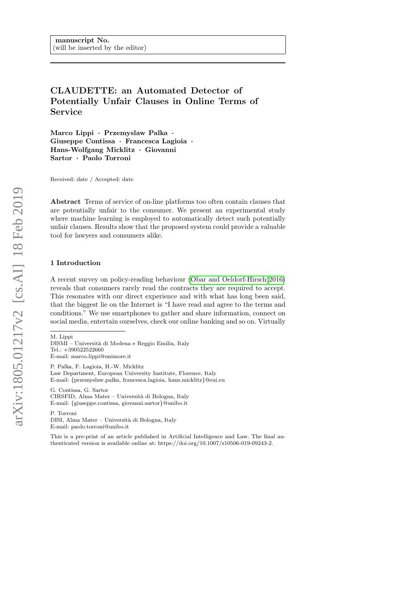# CLAUDETTE: an Automated Detector of Potentially Unfair Clauses in Online Terms of Service

Marco Lippi · Przemyslaw Palka · Giuseppe Contissa · Francesca Lagioia · Hans-Wolfgang Micklitz · Giovanni Sartor · Paolo Torroni

Received: date / Accepted: date

Abstract Terms of service of on-line platforms too often contain clauses that are potentially unfair to the consumer. We present an experimental study where machine learning is employed to automatically detect such potentially unfair clauses. Results show that the proposed system could provide a valuable tool for lawyers and consumers alike.

# 1 Introduction

A recent survey on policy-reading behaviour [\(Obar and Oeldorf-Hirsch 2016\)](#page-17-0) reveals that consumers rarely read the contracts they are required to accept. This resonates with our direct experience and with what has long been said, that the biggest lie on the Internet is "I have read and agree to the terms and conditions." We use smartphones to gather and share information, connect on social media, entertain ourselves, check our online banking and so on. Virtually

M. Lippi

DISMI – Universit`a di Modena e Reggio Emilia, Italy Tel.: +390522522660 E-mail: marco.lippi@unimore.it

P. Palka, F. Lagioia, H.-W. Micklitz Law Department, European University Institute, Florence, Italy E-mail: {przemyslaw.palka, francesca.lagioia, hans.micklitz}@eui.eu

G. Contissa, G. Sartor CIRSFID, Alma Mater – Universit`a di Bologna, Italy E-mail: {giuseppe.contissa, giovanni.sartor}@unibo.it

P. Torroni DISI, Alma Mater – Universit`a di Bologna, Italy E-mail: paolo.torroni@unibo.it

This is a pre-print of an article published in Artificial Intelligence and Law. The final authenticated version is available online at: https://doi.org/10.1007/s10506-019-09243-2.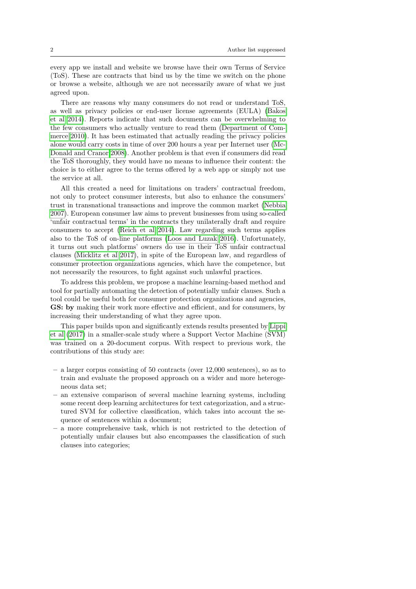every app we install and website we browse have their own Terms of Service (ToS). These are contracts that bind us by the time we switch on the phone or browse a website, although we are not necessarily aware of what we just agreed upon.

There are reasons why many consumers do not read or understand ToS, as well as privacy policies or end-user license agreements (EULA) [\(Bakos](#page-16-0) [et al 2014\)](#page-16-0). Reports indicate that such documents can be overwhelming to the few consumers who actually venture to read them [\(Department of Com](#page-16-1)[merce 2010\)](#page-16-1). It has been estimated that actually reading the privacy policies alone would carry costs in time of over 200 hours a year per Internet user [\(Mc-](#page-17-1)[Donald and Cranor 2008\)](#page-17-1). Another problem is that even if consumers did read the ToS thoroughly, they would have no means to influence their content: the choice is to either agree to the terms offered by a web app or simply not use the service at all.

All this created a need for limitations on traders' contractual freedom, not only to protect consumer interests, but also to enhance the consumers' trust in transnational transactions and improve the common market [\(Nebbia](#page-17-2) [2007\)](#page-17-2). European consumer law aims to prevent businesses from using so-called 'unfair contractual terms' in the contracts they unilaterally draft and require consumers to accept [\(Reich et al 2014\)](#page-17-3). Law regarding such terms applies also to the ToS of on-line platforms [\(Loos and Luzak 2016\)](#page-17-4). Unfortunately, it turns out such platforms' owners do use in their ToS unfair contractual clauses [\(Micklitz et al 2017\)](#page-17-5), in spite of the European law, and regardless of consumer protection organizations agencies, which have the competence, but not necessarily the resources, to fight against such unlawful practices.

To address this problem, we propose a machine learning-based method and tool for partially automating the detection of potentially unfair clauses. Such a tool could be useful both for consumer protection organizations and agencies, GS: by making their work more effective and efficient, and for consumers, by increasing their understanding of what they agree upon.

This paper builds upon and significantly extends results presented by [Lippi](#page-17-6) [et al](#page-17-6) [\(2017\)](#page-17-6) in a smaller-scale study where a Support Vector Machine (SVM) was trained on a 20-document corpus. With respect to previous work, the contributions of this study are:

- a larger corpus consisting of 50 contracts (over 12,000 sentences), so as to train and evaluate the proposed approach on a wider and more heterogeneous data set;
- an extensive comparison of several machine learning systems, including some recent deep learning architectures for text categorization, and a structured SVM for collective classification, which takes into account the sequence of sentences within a document;
- a more comprehensive task, which is not restricted to the detection of potentially unfair clauses but also encompasses the classification of such clauses into categories;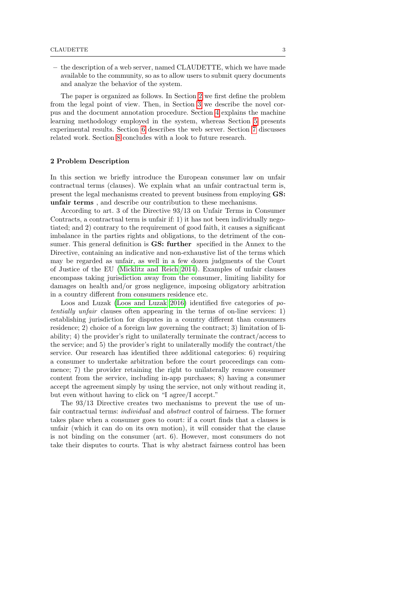– the description of a web server, named CLAUDETTE, which we have made available to the community, so as to allow users to submit query documents and analyze the behavior of the system.

The paper is organized as follows. In Section [2](#page-2-0) we first define the problem from the legal point of view. Then, in Section [3](#page-4-0) we describe the novel corpus and the document annotation procedure. Section [4](#page-9-0) explains the machine learning methodology employed in the system, whereas Section [5](#page-11-0) presents experimental results. Section [6](#page-14-0) describes the web server. Section [7](#page-15-0) discusses related work. Section [8](#page-15-1) concludes with a look to future research.

# <span id="page-2-0"></span>2 Problem Description

In this section we briefly introduce the European consumer law on unfair contractual terms (clauses). We explain what an unfair contractual term is, present the legal mechanisms created to prevent business from employing GS: unfair terms , and describe our contribution to these mechanisms.

According to art. 3 of the Directive 93/13 on Unfair Terms in Consumer Contracts, a contractual term is unfair if: 1) it has not been individually negotiated; and 2) contrary to the requirement of good faith, it causes a significant imbalance in the parties rights and obligations, to the detriment of the consumer. This general definition is **GS:** further specified in the Annex to the Directive, containing an indicative and non-exhaustive list of the terms which may be regarded as unfair, as well in a few dozen judgments of the Court of Justice of the EU [\(Micklitz and Reich 2014\)](#page-17-7). Examples of unfair clauses encompass taking jurisdiction away from the consumer, limiting liability for damages on health and/or gross negligence, imposing obligatory arbitration in a country different from consumers residence etc.

Loos and Luzak [\(Loos and Luzak 2016\)](#page-17-4) identified five categories of potentially unfair clauses often appearing in the terms of on-line services: 1) establishing jurisdiction for disputes in a country different than consumers residence; 2) choice of a foreign law governing the contract; 3) limitation of liability; 4) the provider's right to unilaterally terminate the contract/access to the service; and 5) the provider's right to unilaterally modify the contract/the service. Our research has identified three additional categories: 6) requiring a consumer to undertake arbitration before the court proceedings can commence; 7) the provider retaining the right to unilaterally remove consumer content from the service, including in-app purchases; 8) having a consumer accept the agreement simply by using the service, not only without reading it, but even without having to click on "I agree/I accept."

The 93/13 Directive creates two mechanisms to prevent the use of unfair contractual terms: individual and abstract control of fairness. The former takes place when a consumer goes to court: if a court finds that a clauses is unfair (which it can do on its own motion), it will consider that the clause is not binding on the consumer (art. 6). However, most consumers do not take their disputes to courts. That is why abstract fairness control has been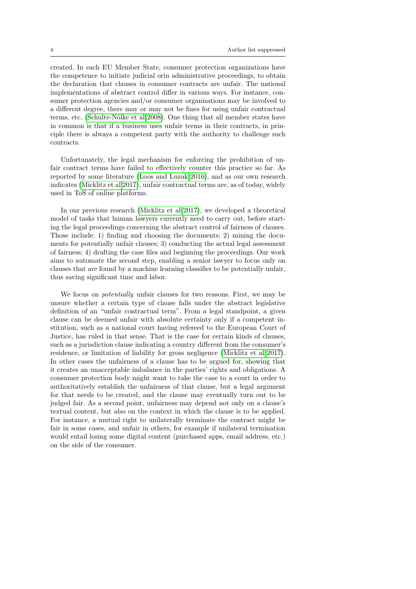created. In each EU Member State, consumer protection organizations have the competence to initiate judicial orin administrative proceedings, to obtain the declaration that clauses in consumer contracts are unfair. The national implementations of abstract control differ in various ways. For instance, consumer protection agencies and/or consumer organisations may be involved to a different degree, there may or may not be fines for using unfair contractual terms, etc. (Schulte-Nölke et al 2008). One thing that all member states have in common is that if a business uses unfair terms in their contracts, in principle there is always a competent party with the authority to challenge such contracts.

Unfortunately, the legal mechanism for enforcing the prohibition of unfair contract terms have failed to effectively counter this practice so far. As reported by some literature [\(Loos and Luzak 2016\)](#page-17-4), and as our own research indicates [\(Micklitz et al 2017\)](#page-17-5), unfair contractual terms are, as of today, widely used in ToS of online platforms.

In our previous research [\(Micklitz et al 2017\)](#page-17-5), we developed a theoretical model of tasks that human lawyers currently need to carry out, before starting the legal proceedings concerning the abstract control of fairness of clauses. Those include: 1) finding and choosing the documents; 2) mining the documents for potentially unfair clauses; 3) conducting the actual legal assessment of fairness; 4) drafting the case files and beginning the proceedings. Our work aims to automate the second step, enabling a senior lawyer to focus only on clauses that are found by a machine learning classifier to be potentially unfair, thus saving significant time and labor.

We focus on potentially unfair clauses for two reasons. First, we may be unsure whether a certain type of clause falls under the abstract legislative definition of an "unfair contractual term". From a legal standpoint, a given clause can be deemed unfair with absolute certainty only if a competent institution, such as a national court having refereed to the European Court of Justice, has ruled in that sense. That is the case for certain kinds of clauses, such as a jurisdiction clause indicating a country different from the consumer's residence, or limitation of liability for gross negligence [\(Micklitz et al 2017\)](#page-17-5). In other cases the unfairness of a clause has to be argued for, showing that it creates an unacceptable imbalance in the parties' rights and obligations. A consumer protection body might want to take the case to a court in order to authoritatively establish the unfairness of that clause, but a legal argument for that needs to be created, and the clause may eventually turn out to be judged fair. As a second point, unfairness may depend not only on a clause's textual content, but also on the context in which the clause is to be applied. For instance, a mutual right to unilaterally terminate the contract might be fair in some cases, and unfair in others, for example if unilateral termination would entail losing some digital content (purchased apps, email address, etc.) on the side of the consumer.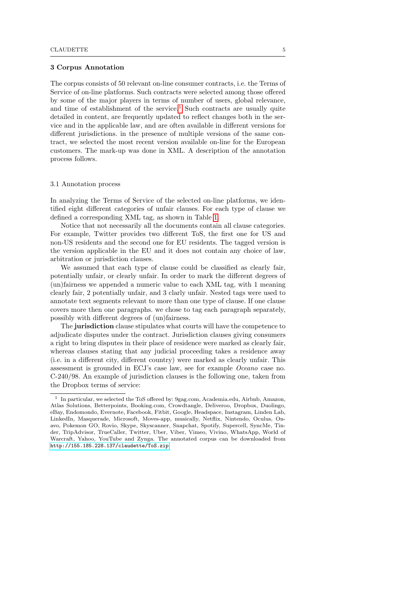#### <span id="page-4-0"></span>3 Corpus Annotation

The corpus consists of 50 relevant on-line consumer contracts, i.e. the Terms of Service of on-line platforms. Such contracts were selected among those offered by some of the major players in terms of number of users, global relevance, and time of establishment of the service.<sup>[1](#page-4-1)</sup> Such contracts are usually quite detailed in content, are frequently updated to reflect changes both in the service and in the applicable law, and are often available in different versions for different jurisdictions. in the presence of multiple versions of the same contract, we selected the most recent version available on-line for the European customers. The mark-up was done in XML. A description of the annotation process follows.

#### 3.1 Annotation process

In analyzing the Terms of Service of the selected on-line platforms, we identified eight different categories of unfair clauses. For each type of clause we defined a corresponding XML tag, as shown in Table [1.](#page-5-0)

Notice that not necessarily all the documents contain all clause categories. For example, Twitter provides two different ToS, the first one for US and non-US residents and the second one for EU residents. The tagged version is the version applicable in the EU and it does not contain any choice of law, arbitration or jurisdiction clauses.

We assumed that each type of clause could be classified as clearly fair, potentially unfair, or clearly unfair. In order to mark the different degrees of (un)fairness we appended a numeric value to each XML tag, with 1 meaning clearly fair, 2 potentially unfair, and 3 clarly unfair. Nested tags were used to annotate text segments relevant to more than one type of clause. If one clause covers more then one paragraphs. we chose to tag each paragraph separately, possibly with different degrees of (un)fairness.

The jurisdiction clause stipulates what courts will have the competence to adjudicate disputes under the contract. Jurisdiction clauses giving consumers a right to bring disputes in their place of residence were marked as clearly fair, whereas clauses stating that any judicial proceeding takes a residence away (i.e. in a different city, different country) were marked as clearly unfair. This assessment is grounded in ECJ's case law, see for example Oceano case no. C-240/98. An example of jurisdiction clauses is the following one, taken from the Dropbox terms of service:

<span id="page-4-1"></span><sup>1</sup> In particular, we selected the ToS offered by: 9gag.com, Academia.edu, Airbnb, Amazon, Atlas Solutions, Betterpoints, Booking.com, Crowdtangle, Deliveroo, Dropbox, Duolingo, eBay, Endomondo, Evernote, Facebook, Fitbit, Google, Headspace, Instagram, Linden Lab, LinkedIn, Masquerade, Microsoft, Moves-app, musically, Netflix, Nintendo, Oculus, Onavo, Pokemon GO, Rovio, Skype, Skyscanner, Snapchat, Spotify, Supercell, SyncMe, Tinder, TripAdvisor, TrueCaller, Twitter, Uber, Viber, Vimeo, Vivino, WhatsApp, World of Warcraft, Yahoo, YouTube and Zynga. The annotated corpus can be downloaded from <http://155.185.228.137/claudette/ToS.zip>.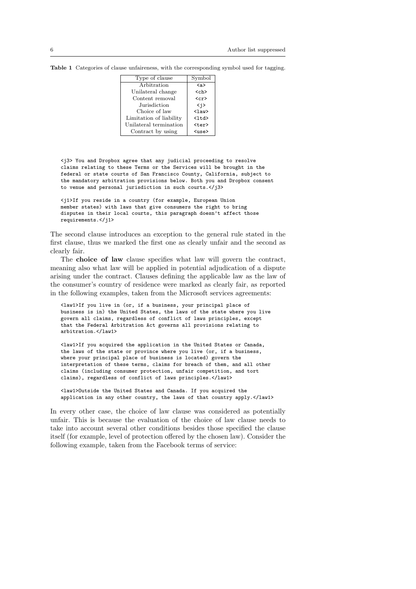| Type of clause          | Symbol                  |
|-------------------------|-------------------------|
| Arbitration             | $\langle a \rangle$     |
| Unilateral change       | <ch></ch>               |
| Content removal         | $\langle cr \rangle$    |
| Jurisdiction            | < i >                   |
| Choice of law           | $\langle$ law $\rangle$ |
| Limitation of liability | $<$ ltd>                |
| Unilateral termination  | <ter></ter>             |
| Contract by using       | $\langle$ use $\rangle$ |

<span id="page-5-0"></span>Table 1 Categories of clause unfaireness, with the corresponding symbol used for tagging.

<j3> You and Dropbox agree that any judicial proceeding to resolve claims relating to these Terms or the Services will be brought in the federal or state courts of San Francisco County, California, subject to the mandatory arbitration provisions below. Both you and Dropbox consent to venue and personal jurisdiction in such courts.</j3>

<j1>If you reside in a country (for example, European Union member states) with laws that give consumers the right to bring disputes in their local courts, this paragraph doesn't affect those requirements.</j1>

The second clause introduces an exception to the general rule stated in the first clause, thus we marked the first one as clearly unfair and the second as clearly fair.

The choice of law clause specifies what law will govern the contract, meaning also what law will be applied in potential adjudication of a dispute arising under the contract. Clauses defining the applicable law as the law of the consumer's country of residence were marked as clearly fair, as reported in the following examples, taken from the Microsoft services agreements:

<law1>If you live in (or, if a business, your principal place of business is in) the United States, the laws of the state where you live govern all claims, regardless of conflict of laws principles, except that the Federal Arbitration Act governs all provisions relating to arbitration.</law1>

<law1>If you acquired the application in the United States or Canada, the laws of the state or province where you live (or, if a business, where your principal place of business is located) govern the interpretation of these terms, claims for breach of them, and all other claims (including consumer protection, unfair competition, and tort claims), regardless of conflict of laws principles.</law1>

<law1>Outside the United States and Canada. If you acquired the application in any other country, the laws of that country apply.</law1>

In every other case, the choice of law clause was considered as potentially unfair. This is because the evaluation of the choice of law clause needs to take into account several other conditions besides those specified the clause itself (for example, level of protection offered by the chosen law). Consider the following example, taken from the Facebook terms of service: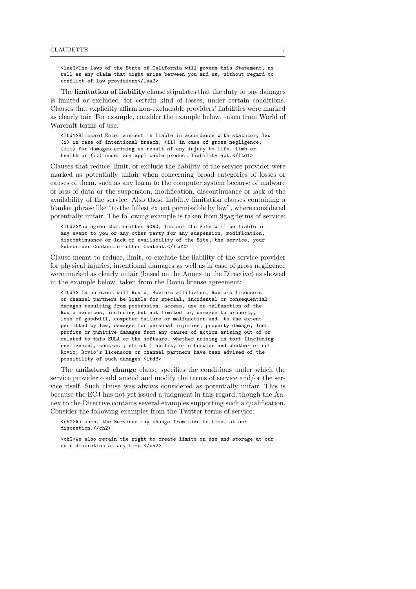<law2>The laws of the State of California will govern this Statement, as well as any claim that might arise between you and us, without regard to conflict of law provisions</law2>

The limitation of liability clause stipulates that the duty to pay damages is limited or excluded, for certain kind of losses, under certain conditions. Clauses that explicitly affirm non-excludable providers' liabilities were marked as clearly fair. For example, consider the example below, taken from World of Warcraft terms of use:

<ltd1>Blizzard Entertainment is liable in accordance with statutory law (i) in case of intentional breach, (ii) in case of gross negligence, (iii) for damages arising as result of any injury to life, limb or health or (iv) under any applicable product liability act.</ltd1>

Clauses that reduce, limit, or exclude the liability of the service provider were marked as potentially unfair when concerning broad categories of losses or causes of them, such as any harm to the computer system because of malware or loss of data or the suspension, modification, discontinuance or lack of the availability of the service. Also those liability limitation clauses containing a blanket phrase like "to the fullest extent permissible by law", where considered potentially unfair. The following example is taken from 9gag terms of service:

<ltd2>You agree that neither 9GAG, Inc nor the Site will be liable in any event to you or any other party for any suspension, modification, discontinuance or lack of availability of the Site, the service, your Subscriber Content or other Content.</ltd2>

Clause meant to reduce, limit, or exclude the liability of the service provider for physical injuries, intentional damages as well as in case of gross negligence were marked as clearly unfair (based on the Annex to the Directive) as showed in the example below, taken from the Rovio license agreement:

<ltd3> In no event will Rovio, Rovio's affiliates, Rovio's licensors or channel partners be liable for special, incidental or consequential damages resulting from possession, access, use or malfunction of the Rovio services, including but not limited to, damages to property, loss of goodwill, computer failure or malfunction and, to the extent permitted by law, damages for personal injuries, property damage, lost profits or punitive damages from any causes of action arising out of or related to this EULA or the software, whether arising in tort (including negligence), contract, strict liability or otherwise and whether or not Rovio, Rovio's licensors or channel partners have been advised of the possibility of such damages.<ltd3>

The unilateral change clause specifies the conditions under which the service provider could amend and modify the terms of service and/or the service itself. Such clause was always considered as potentially unfair. This is because the ECJ has not yet issued a judgment in this regard, though the Annex to the Directive contains several examples supporting such a qualification. Consider the following examples from the Twitter terms of service:

<ch2>As such, the Services may change from time to time, at our discretion.</ch2>

<ch2>We also retain the right to create limits on use and storage at our sole discretion at any time.</ch2>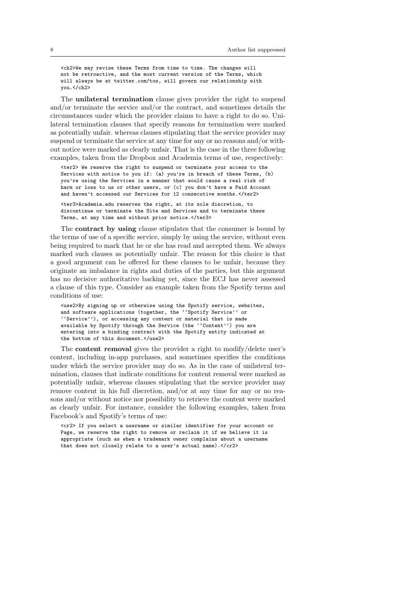<ch2>We may revise these Terms from time to time. The changes will not be retroactive, and the most current version of the Terms, which will always be at twitter.com/tos, will govern our relationship with you.</ch2>

The unilateral termination clause gives provider the right to suspend and/or terminate the service and/or the contract, and sometimes details the circumstances under which the provider claims to have a right to do so. Unilateral termination clauses that specify reasons for termination were marked as potentially unfair. whereas clauses stipulating that the service provider may suspend or terminate the service at any time for any or no reasons and/or without notice were marked as clearly unfair. That is the case in the three following examples, taken from the Dropbox and Academia terms of use, respectively:

<ter2> We reserve the right to suspend or terminate your access to the Services with notice to you if: (a) you're in breach of these Terms, (b) you're using the Services in a manner that would cause a real risk of harm or loss to us or other users, or (c) you don't have a Paid Account and haven't accessed our Services for 12 consecutive months.</ter2>

<ter3>Academia.edu reserves the right, at its sole discretion, to discontinue or terminate the Site and Services and to terminate these Terms, at any time and without prior notice.</ter3>

The contract by using clause stipulates that the consumer is bound by the terms of use of a specific service, simply by using the service, without even being required to mark that he or she has read and accepted them. We always marked such clauses as potentially unfair. The reason for this choice is that a good argument can be offered for these clauses to be unfair, because they originate an imbalance in rights and duties of the parties, but this argument has no decisive authoritative backing yet, since the ECJ has never assessed a clause of this type. Consider an example taken from the Spotify terms and conditions of use:

<use2>By signing up or otherwise using the Spotify service, websites, and software applications (together, the ''Spotify Service'' or ''Service''), or accessing any content or material that is made available by Spotify through the Service (the ''Content'') you are entering into a binding contract with the Spotify entity indicated at the bottom of this document.</use2>

The content removal gives the provider a right to modify/delete user's content, including in-app purchases, and sometimes specifies the conditions under which the service provider may do so. As in the case of unilateral termination, clauses that indicate conditions for content removal were marked as potentially unfair, whereas clauses stipulating that the service provider may remove content in his full discretion, and/or at any time for any or no reasons and/or without notice nor possibility to retrieve the content were marked as clearly unfair. For instance, consider the following examples, taken from Facebook's and Spotify's terms of use:

<cr2> If you select a username or similar identifier for your account or Page, we reserve the right to remove or reclaim it if we believe it is appropriate (such as when a trademark owner complains about a username that does not closely relate to a user's actual name).</cr2>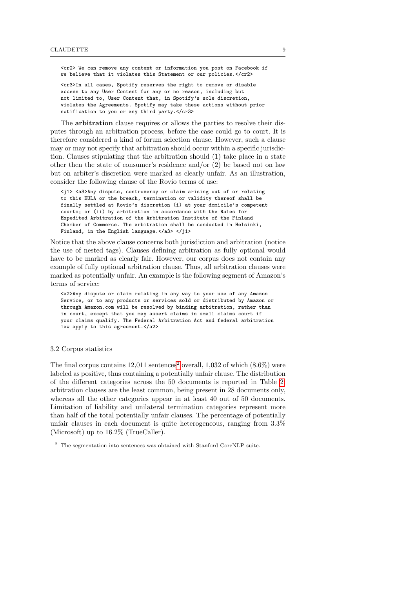<cr2> We can remove any content or information you post on Facebook if we believe that it violates this Statement or our policies.</cr2>

<cr3>In all cases, Spotify reserves the right to remove or disable access to any User Content for any or no reason, including but not limited to, User Content that, in Spotify's sole discretion, violates the Agreements. Spotify may take these actions without prior notification to you or any third party.</cr3>

The arbitration clause requires or allows the parties to resolve their disputes through an arbitration process, before the case could go to court. It is therefore considered a kind of forum selection clause. However, such a clause may or may not specify that arbitration should occur within a specific jurisdiction. Clauses stipulating that the arbitration should (1) take place in a state other then the state of consumer's residence and/or (2) be based not on law but on arbiter's discretion were marked as clearly unfair. As an illustration, consider the following clause of the Rovio terms of use:

<j1> <a3>Any dispute, controversy or claim arising out of or relating to this EULA or the breach, termination or validity thereof shall be finally settled at Rovio's discretion (i) at your domicile's competent courts; or (ii) by arbitration in accordance with the Rules for Expedited Arbitration of the Arbitration Institute of the Finland Chamber of Commerce. The arbitration shall be conducted in Helsinki, Finland, in the English language.</a3> </j1>

Notice that the above clause concerns both jurisdiction and arbitration (notice the use of nested tags). Clauses defining arbitration as fully optional would have to be marked as clearly fair. However, our corpus does not contain any example of fully optional arbitration clause. Thus, all arbitration clauses were marked as potentially unfair. An example is the following segment of Amazon's terms of service:

<a2>Any dispute or claim relating in any way to your use of any Amazon Service, or to any products or services sold or distributed by Amazon or through Amazon.com will be resolved by binding arbitration, rather than in court, except that you may assert claims in small claims court if your claims qualify. The Federal Arbitration Act and federal arbitration law apply to this agreement.</a2>

### 3.2 Corpus statistics

The final corpus contains  $12,011$  $12,011$  $12,011$  sentences<sup>2</sup> overall,  $1,032$  of which  $(8.6\%)$  were labeled as positive, thus containing a potentially unfair clause. The distribution of the different categories across the 50 documents is reported in Table [2:](#page-9-1) arbitration clauses are the least common, being present in 28 documents only, whereas all the other categories appear in at least 40 out of 50 documents. Limitation of liability and unilateral termination categories represent more than half of the total potentially unfair clauses. The percentage of potentially unfair clauses in each document is quite heterogeneous, ranging from 3.3% (Microsoft) up to 16.2% (TrueCaller).

<span id="page-8-0"></span> $^{\rm 2}$  The segmentation into sentences was obtained with Stanford CoreNLP suite.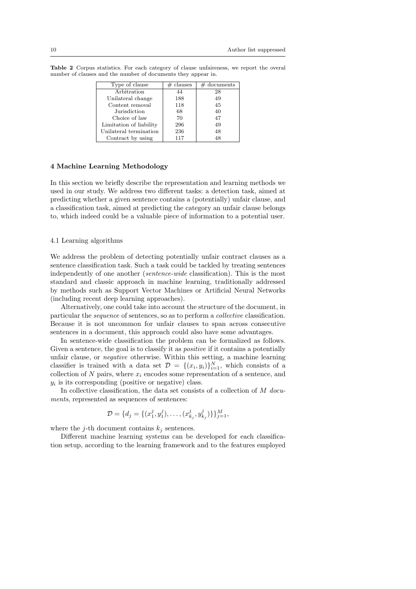| Type of clause          | $#$ clauses | $#$ documents |
|-------------------------|-------------|---------------|
| Arbitration             | 44          | 28            |
| Unilateral change       | 188         | 49            |
| Content removal         | 118         | 45            |
| Jurisdiction            | 68          | 40            |
| Choice of law           | 70          | 47            |
| Limitation of liability | 296         | 49            |
| Unilateral termination  | 236         | 48            |
| Contract by using       | 117         | 48            |

<span id="page-9-1"></span>Table 2 Corpus statistics. For each category of clause unfaireness, we report the overal number of clauses and the number of documents they appear in.

#### <span id="page-9-0"></span>4 Machine Learning Methodology

In this section we briefly describe the representation and learning methods we used in our study. We address two different tasks: a detection task, aimed at predicting whether a given sentence contains a (potentially) unfair clause, and a classification task, aimed at predicting the category an unfair clause belongs to, which indeed could be a valuable piece of information to a potential user.

# 4.1 Learning algorithms

We address the problem of detecting potentially unfair contract clauses as a sentence classification task. Such a task could be tackled by treating sentences independently of one another (sentence-wide classification). This is the most standard and classic approach in machine learning, traditionally addressed by methods such as Support Vector Machines or Artificial Neural Networks (including recent deep learning approaches).

Alternatively, one could take into account the structure of the document, in particular the sequence of sentences, so as to perform a collective classification. Because it is not uncommon for unfair clauses to span across consecutive sentences in a document, this approach could also have some advantages.

In sentence-wide classification the problem can be formalized as follows. Given a sentence, the goal is to classify it as *positive* if it contains a potentially unfair clause, or negative otherwise. Within this setting, a machine learning classifier is trained with a data set  $\mathcal{D} = \{(x_i, y_i)\}_{i=1}^N$ , which consists of a collection of N pairs, where  $x_i$  encodes some representation of a sentence, and  $y_i$  is its corresponding (positive or negative) class.

In collective classification, the data set consists of a collection of  $M$  documents, represented as sequences of sentences:

$$
\mathcal{D} = \{d_j = \{(x_1^j, y_1^j), \dots, (x_{k_j}^j, y_{k_j}^j)\}\}_{j=1}^M,
$$

where the j-th document contains  $k_i$  sentences.

Different machine learning systems can be developed for each classification setup, according to the learning framework and to the features employed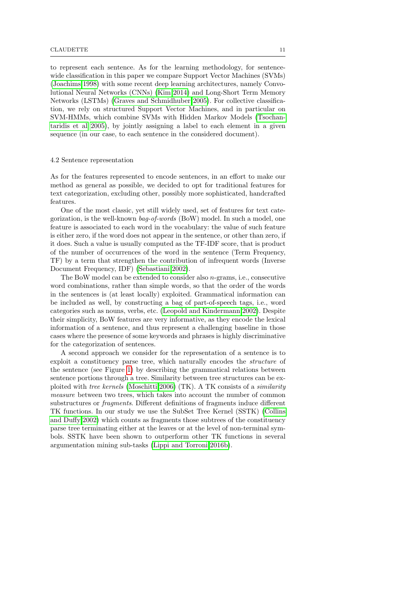to represent each sentence. As for the learning methodology, for sentencewide classification in this paper we compare Support Vector Machines (SVMs) [\(Joachims 1998\)](#page-17-9) with some recent deep learning architectures, namely Convolutional Neural Networks (CNNs) [\(Kim 2014\)](#page-17-10) and Long-Short Term Memory Networks (LSTMs) [\(Graves and Schmidhuber 2005\)](#page-17-11). For collective classification, we rely on structured Support Vector Machines, and in particular on SVM-HMMs, which combine SVMs with Hidden Markov Models [\(Tsochan](#page-17-12)[taridis et al 2005\)](#page-17-12), by jointly assigning a label to each element in a given sequence (in our case, to each sentence in the considered document).

#### 4.2 Sentence representation

As for the features represented to encode sentences, in an effort to make our method as general as possible, we decided to opt for traditional features for text categorization, excluding other, possibly more sophisticated, handcrafted features.

One of the most classic, yet still widely used, set of features for text categorization, is the well-known bag-of-words (BoW) model. In such a model, one feature is associated to each word in the vocabulary: the value of such feature is either zero, if the word does not appear in the sentence, or other than zero, if it does. Such a value is usually computed as the TF-IDF score, that is product of the number of occurrences of the word in the sentence (Term Frequency, TF) by a term that strengthen the contribution of infrequent words (Inverse Document Frequency, IDF) [\(Sebastiani 2002\)](#page-17-13).

The BoW model can be extended to consider also n-grams, i.e., consecutive word combinations, rather than simple words, so that the order of the words in the sentences is (at least locally) exploited. Grammatical information can be included as well, by constructing a bag of part-of-speech tags, i.e., word categories such as nouns, verbs, etc. [\(Leopold and Kindermann 2002\)](#page-17-14). Despite their simplicity, BoW features are very informative, as they encode the lexical information of a sentence, and thus represent a challenging baseline in those cases where the presence of some keywords and phrases is highly discriminative for the categorization of sentences.

A second approach we consider for the representation of a sentence is to exploit a constituency parse tree, which naturally encodes the structure of the sentence (see Figure [1\)](#page-11-1) by describing the grammatical relations between sentence portions through a tree. Similarity between tree structures can be exploited with tree kernels [\(Moschitti 2006\)](#page-17-15) (TK). A TK consists of a similarity measure between two trees, which takes into account the number of common substructures or fragments. Different definitions of fragments induce different TK functions. In our study we use the SubSet Tree Kernel (SSTK) [\(Collins](#page-16-2) [and Duffy 2002\)](#page-16-2) which counts as fragments those subtrees of the constituency parse tree terminating either at the leaves or at the level of non-terminal symbols. SSTK have been shown to outperform other TK functions in several argumentation mining sub-tasks [\(Lippi and Torroni 2016b\)](#page-17-16).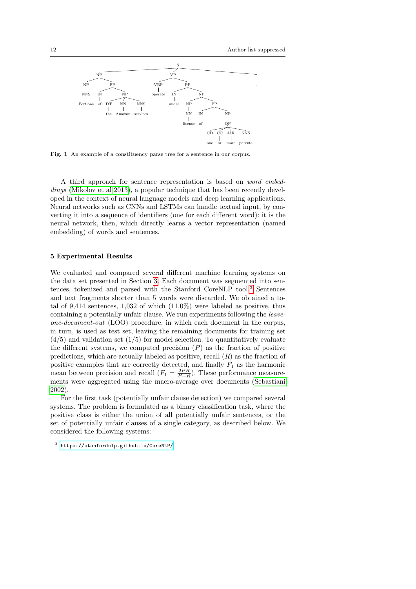

<span id="page-11-1"></span>Fig. 1 An example of a constituency parse tree for a sentence in our corpus.

A third approach for sentence representation is based on word embed-dings [\(Mikolov et al 2013\)](#page-17-17), a popular technique that has been recently developed in the context of neural language models and deep learning applications. Neural networks such as CNNs and LSTMs can handle textual input, by converting it into a sequence of identifiers (one for each different word): it is the neural network, then, which directly learns a vector representation (named embedding) of words and sentences.

## <span id="page-11-0"></span>5 Experimental Results

We evaluated and compared several different machine learning systems on the data set presented in Section [3.](#page-4-0) Each document was segmented into sentences, tokenized and parsed with the Stanford CoreNLP tool.[3](#page-11-2) Sentences and text fragments shorter than 5 words were discarded. We obtained a total of 9,414 sentences,  $1,032$  of which  $(11.0\%)$  were labeled as positive, thus containing a potentially unfair clause. We run experiments following the leaveone-document-out (LOO) procedure, in which each document in the corpus, in turn, is used as test set, leaving the remaining documents for training set  $(4/5)$  and validation set  $(1/5)$  for model selection. To quantitatively evaluate the different systems, we computed precision  $(P)$  as the fraction of positive predictions, which are actually labeled as positive, recall  $(R)$  as the fraction of positive examples that are correctly detected, and finally  $F_1$  as the harmonic mean between precision and recall  $(F_1 = \frac{2PR}{P+R})$ . These performance measurements were aggregated using the macro-average over documents [\(Sebastiani](#page-17-13) [2002\)](#page-17-13).

For the first task (potentially unfair clause detection) we compared several systems. The problem is formulated as a binary classification task, where the positive class is either the union of all potentially unfair sentences, or the set of potentially unfair clauses of a single category, as described below. We considered the following systems:

<span id="page-11-2"></span><sup>3</sup> <https://stanfordnlp.github.io/CoreNLP/>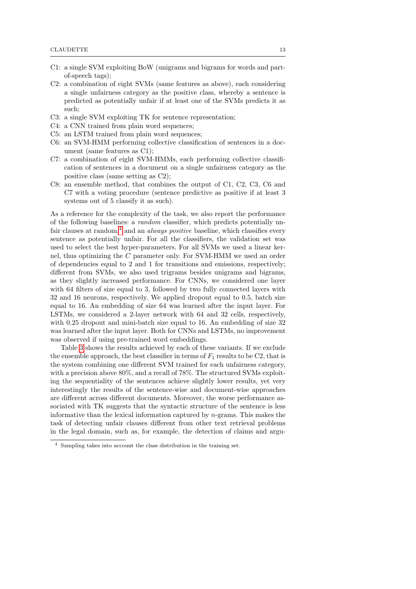- C1: a single SVM exploiting BoW (unigrams and bigrams for words and partof-speech tags);
- C2: a combination of eight SVMs (same features as above), each considering a single unfairness category as the positive class, whereby a sentence is predicted as potentially unfair if at least one of the SVMs predicts it as such;
- C3: a single SVM exploiting TK for sentence representation;
- C4: a CNN trained from plain word sequences;
- C5: an LSTM trained from plain word sequences;
- C6: an SVM-HMM performing collective classification of sentences in a document (same features as C1);
- C7: a combination of eight SVM-HMMs, each performing collective classification of sentences in a document on a single unfairness category as the positive class (same setting as C2);
- C8: an ensemble method, that combines the output of C1, C2, C3, C6 and C7 with a voting procedure (sentence predictive as positive if at least 3 systems out of 5 classify it as such).

As a reference for the complexity of the task, we also report the performance of the following baselines: a random classifier, which predicts potentially unfair clauses at random, $4$  and an *always positive* baseline, which classifies every sentence as potentially unfair. For all the classifiers, the validation set was used to select the best hyper-parameters. For all SVMs we used a linear kernel, thus optimizing the C parameter only. For SVM-HMM we used an order of dependencies equal to 2 and 1 for transitions and emissions, respectively; different from SVMs, we also used trigrams besides unigrams and bigrams, as they slightly increased performance. For CNNs, we considered one layer with 64 filters of size equal to 3, followed by two fully connected layers with 32 and 16 neurons, respectively. We applied dropout equal to 0.5, batch size equal to 16. An embedding of size 64 was learned after the input layer. For LSTMs, we considered a 2-layer network with 64 and 32 cells, respectively, with 0.25 dropout and mini-batch size equal to 16. An embedding of size 32 was learned after the input layer. Both for CNNs and LSTMs, no improvement was observed if using pre-trained word embeddings.

Table [3](#page-13-0) shows the results achieved by each of these variants. If we exclude the ensemble approach, the best classifier in terms of  $F_1$  results to be C2, that is the system combining one different SVM trained for each unfairness category, with a precision above 80%, and a recall of 78%. The structured SVMs exploiting the sequentiality of the sentences achieve slightly lower results, yet very interestingly the results of the sentence-wise and document-wise approaches are different across different documents. Moreover, the worse performance associated with TK suggests that the syntactic structure of the sentence is less informative than the lexical information captured by n-grams. This makes the task of detecting unfair clauses different from other text retrieval problems in the legal domain, such as, for example, the detection of claims and argu-

<span id="page-12-0"></span><sup>4</sup> Sampling takes into account the class distribution in the training set.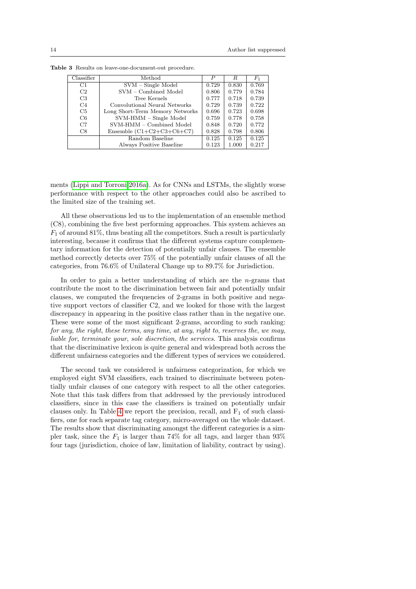<span id="page-13-0"></span>

| Classifier     | Method                          |       | R.    | $F_{1}$ |
|----------------|---------------------------------|-------|-------|---------|
| C1             | $SVM - Single Model$            |       | 0.830 | 0.769   |
| C2             | SVM - Combined Model            |       | 0.779 | 0.784   |
| C <sub>3</sub> | Tree Kernels                    |       | 0.718 | 0.739   |
| C <sub>4</sub> | Convolutional Neural Networks   |       | 0.739 | 0.722   |
| C <sub>5</sub> | Long Short-Term Memory Networks | 0.696 | 0.723 | 0.698   |
| C <sub>6</sub> | $SVM$ - $HMM$ – Single Model    | 0.759 | 0.778 | 0.758   |
| C7             | SVM-HMM - Combined Model        | 0.848 | 0.720 | 0.772   |
| C8             | Ensemble $(C1+C2+C3+C6+C7)$     | 0.828 | 0.798 | 0.806   |
|                | Random Baseline                 | 0.125 | 0.125 | 0.125   |
|                | Always Positive Baseline        | 0.123 | 1.000 | 0.217   |

Table 3 Results on leave-one-document-out procedure.

ments [\(Lippi and Torroni 2016a\)](#page-17-18). As for CNNs and LSTMs, the slightly worse performance with respect to the other approaches could also be ascribed to the limited size of the training set.

All these observations led us to the implementation of an ensemble method (C8), combining the five best performing approaches. This system achieves an  $F_1$  of around 81%, thus beating all the competitors. Such a result is particularly interesting, because it confirms that the different systems capture complementary information for the detection of potentially unfair clauses. The ensemble method correctly detects over 75% of the potentially unfair clauses of all the categories, from 76.6% of Unilateral Change up to 89.7% for Jurisdiction.

In order to gain a better understanding of which are the  $n$ -grams that contribute the most to the discrimination between fair and potentially unfair clauses, we computed the frequencies of 2-grams in both positive and negative support vectors of classifier C2, and we looked for those with the largest discrepancy in appearing in the positive class rather than in the negative one. These were some of the most significant 2-grams, according to such ranking: for any, the right, these terms, any time, at any, right to, reserves the, we may, liable for, terminate your, sole discretion, the services. This analysis confirms that the discriminative lexicon is quite general and widespread both across the different unfairness categories and the different types of services we considered.

The second task we considered is unfairness categorization, for which we employed eight SVM classifiers, each trained to discriminate between potentially unfair clauses of one category with respect to all the other categories. Note that this task differs from that addressed by the previously introduced classifiers, since in this case the classifiers is trained on potentially unfair clauses only. In Table [4](#page-14-1) we report the precision, recall, and  $F_1$  of such classifiers, one for each separate tag category, micro-averaged on the whole dataset. The results show that discriminating amongst the different categories is a simpler task, since the  $F_1$  is larger than 74% for all tags, and larger than 93% four tags (jurisdiction, choice of law, limitation of liability, contract by using).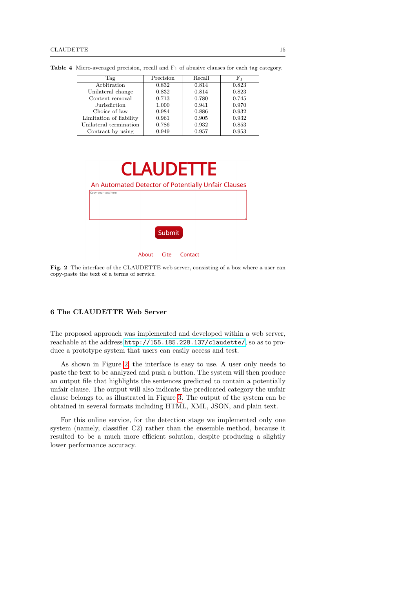<span id="page-14-1"></span>

| Tag                     | Precision | Recall | $_{\rm F_1}$ |
|-------------------------|-----------|--------|--------------|
| Arbitration             | 0.832     | 0.814  | 0.823        |
| Unilateral change       | 0.832     | 0.814  | 0.823        |
| Content removal         | 0.713     | 0.780  | 0.745        |
| Jurisdiction            | 1.000     | 0.941  | 0.970        |
| Choice of law           | 0.984     | 0.886  | 0.932        |
| Limitation of liability | 0.961     | 0.905  | 0.932        |
| Unilateral termination  | 0.786     | 0.932  | 0.853        |
| Contract by using       | 0.949     | 0.957  | 0.953        |

Table 4 Micro-averaged precision, recall and F<sup>1</sup> of abusive clauses for each tag category.



Fig. 2 The interface of the CLAUDETTE web server, consisting of a box where a user can copy-paste the text of a terms of service.

# <span id="page-14-2"></span><span id="page-14-0"></span>6 The CLAUDETTE Web Server

The proposed approach was implemented and developed within a web server, reachable at the address <http://155.185.228.137/claudette/>, so as to produce a prototype system that users can easily access and test.

As shown in Figure [2,](#page-14-2) the interface is easy to use. A user only needs to paste the text to be analyzed and push a button. The system will then produce an output file that highlights the sentences predicted to contain a potentially unfair clause. The output will also indicate the predicated category the unfair clause belongs to, as illustrated in Figure [3.](#page-15-2) The output of the system can be obtained in several formats including HTML, XML, JSON, and plain text.

For this online service, for the detection stage we implemented only one system (namely, classifier C2) rather than the ensemble method, because it resulted to be a much more efficient solution, despite producing a slightly lower performance accuracy.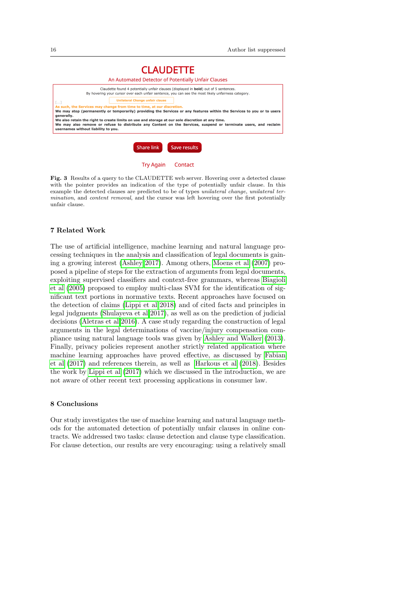

**Try Again** Contact

<span id="page-15-2"></span>Fig. 3 Results of a query to the CLAUDETTE web server. Hovering over a detected clause with the pointer provides an indication of the type of potentially unfair clause. In this example the detected clauses are predicted to be of types unilateral change, unilateral termination, and content removal, and the cursor was left hovering over the first potentially unfair clause.

# <span id="page-15-0"></span>7 Related Work

The use of artificial intelligence, machine learning and natural language processing techniques in the analysis and classification of legal documents is gaining a growing interest [\(Ashley 2017\)](#page-16-3). Among others, [Moens et al](#page-17-19) [\(2007\)](#page-17-19) proposed a pipeline of steps for the extraction of arguments from legal documents, exploiting supervised classifiers and context-free grammars, whereas [Biagioli](#page-16-4) [et al](#page-16-4) [\(2005\)](#page-16-4) proposed to employ multi-class SVM for the identification of significant text portions in normative texts. Recent approaches have focused on the detection of claims [\(Lippi et al 2018\)](#page-17-20) and of cited facts and principles in legal judgments [\(Shulayeva et al 2017\)](#page-17-21), as well as on the prediction of judicial decisions [\(Aletras et al 2016\)](#page-16-5). A case study regarding the construction of legal arguments in the legal determinations of vaccine/injury compensation compliance using natural language tools was given by [Ashley and Walker](#page-16-6) [\(2013\)](#page-16-6). Finally, privacy policies represent another strictly related application where machine learning approaches have proved effective, as discussed by [Fabian](#page-16-7) [et al](#page-16-7) [\(2017\)](#page-16-7) and references therein, as well as [Harkous et al](#page-17-22) [\(2018\)](#page-17-22). Besides the work by [Lippi et al](#page-17-6) [\(2017\)](#page-17-6) which we discussed in the introduction, we are not aware of other recent text processing applications in consumer law.

# <span id="page-15-1"></span>8 Conclusions

Our study investigates the use of machine learning and natural language methods for the automated detection of potentially unfair clauses in online contracts. We addressed two tasks: clause detection and clause type classification. For clause detection, our results are very encouraging: using a relatively small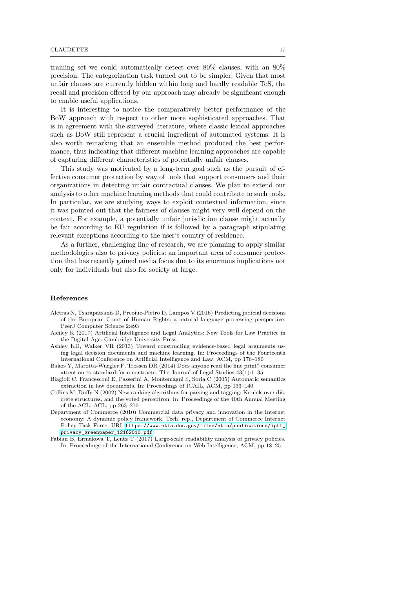training set we could automatically detect over 80% clauses, with an 80% precision. The categorization task turned out to be simpler. Given that most unfair clauses are currently hidden within long and hardly readable ToS, the recall and precision offered by our approach may already be significant enough to enable useful applications.

It is interesting to notice the comparatively better performance of the BoW approach with respect to other more sophisticated approaches. That is in agreement with the surveyed literature, where classic lexical approaches such as BoW still represent a crucial ingredient of automated systems. It is also worth remarking that an ensemble method produced the best performance, thus indicating that different machine learning approaches are capable of capturing different characteristics of potentially unfair clauses.

This study was motivated by a long-term goal such as the pursuit of effective consumer protection by way of tools that support consumers and their organizations in detecting unfair contractual clauses. We plan to extend our analysis to other machine learning methods that could contribute to such tools. In particular, we are studying ways to exploit contextual information, since it was pointed out that the fairness of clauses might very well depend on the context. For example, a potentially unfair jurisdiction clause might actually be fair according to EU regulation if is followed by a paragraph stipulating relevant exceptions according to the user's country of residence.

As a further, challenging line of research, we are planning to apply similar methodologies also to privacy policies: an important area of consumer protection that has recently gained media focus due to its enormous implications not only for individuals but also for society at large.

# References

- <span id="page-16-5"></span>Aletras N, Tsarapatsanis D, Preoiuc-Pietro D, Lampos V (2016) Predicting judicial decisions of the European Court of Human Rights: a natural language processing perspective. PeerJ Computer Science 2:e93
- <span id="page-16-3"></span>Ashley K (2017) Artificial Intelligence and Legal Analytics: New Tools for Law Practice in the Digital Age. Cambridge University Press
- <span id="page-16-6"></span>Ashley KD, Walker VR (2013) Toward constructing evidence-based legal arguments using legal decision documents and machine learning. In: Proceedings of the Fourteenth International Conference on Artificial Intelligence and Law, ACM, pp 176–180
- <span id="page-16-0"></span>Bakos Y, Marotta-Wurgler F, Trossen DR (2014) Does anyone read the fine print? consumer attention to standard-form contracts. The Journal of Legal Studies 43(1):1–35
- <span id="page-16-4"></span>Biagioli C, Francesconi E, Passerini A, Montemagni S, Soria C (2005) Automatic semantics extraction in law documents. In: Proceedings of ICAIL, ACM, pp 133–140
- <span id="page-16-2"></span>Collins M, Duffy N (2002) New ranking algorithms for parsing and tagging: Kernels over discrete structures, and the voted perceptron. In: Proceedings of the 40th Annual Meeting of the ACL, ACL, pp 263–270
- <span id="page-16-1"></span>Department of Commerce (2010) Commercial data privacy and innovation in the Internet economy: A dynamic policy framework. Tech. rep., Department of Commerce Internet Policy Task Force, URL [https://www.ntia.doc.gov/files/ntia/publications/iptf\\_](https://www.ntia.doc.gov/files/ntia/publications/iptf_privacy_greenpaper_12162010.pdf) [privacy\\_greenpaper\\_12162010.pdf](https://www.ntia.doc.gov/files/ntia/publications/iptf_privacy_greenpaper_12162010.pdf)
- <span id="page-16-7"></span>Fabian B, Ermakova T, Lentz T (2017) Large-scale readability analysis of privacy policies. In: Proceedings of the International Conference on Web Intelligence, ACM, pp 18–25